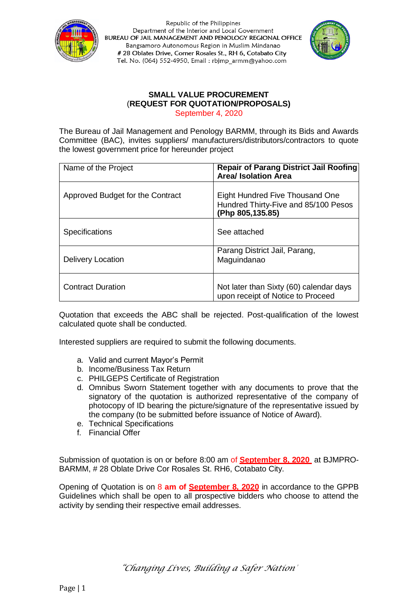



#### **SMALL VALUE PROCUREMENT** (**REQUEST FOR QUOTATION/PROPOSALS)** September 4, 2020

The Bureau of Jail Management and Penology BARMM, through its Bids and Awards Committee (BAC), invites suppliers/ manufacturers/distributors/contractors to quote the lowest government price for hereunder project

| Name of the Project              | <b>Repair of Parang District Jail Roofing</b><br><b>Area/ Isolation Area</b>                |
|----------------------------------|---------------------------------------------------------------------------------------------|
| Approved Budget for the Contract | Eight Hundred Five Thousand One<br>Hundred Thirty-Five and 85/100 Pesos<br>(Php 805,135.85) |
| <b>Specifications</b>            | See attached                                                                                |
| <b>Delivery Location</b>         | Parang District Jail, Parang,<br>Maguindanao                                                |
| <b>Contract Duration</b>         | Not later than Sixty (60) calendar days<br>upon receipt of Notice to Proceed                |

Quotation that exceeds the ABC shall be rejected. Post-qualification of the lowest calculated quote shall be conducted.

Interested suppliers are required to submit the following documents.

- a. Valid and current Mayor's Permit
- b. Income/Business Tax Return
- c. PHILGEPS Certificate of Registration
- d. Omnibus Sworn Statement together with any documents to prove that the signatory of the quotation is authorized representative of the company of photocopy of ID bearing the picture/signature of the representative issued by the company (to be submitted before issuance of Notice of Award).
- e. Technical Specifications
- f. Financial Offer

Submission of quotation is on or before 8:00 am of **September 8, 2020** at BJMPRO-BARMM, # 28 Oblate Drive Cor Rosales St. RH6, Cotabato City.

Opening of Quotation is on 8 **am of September 8, 2020** in accordance to the GPPB Guidelines which shall be open to all prospective bidders who choose to attend the activity by sending their respective email addresses.

*"Changing Lives, Building a Safer Nation"*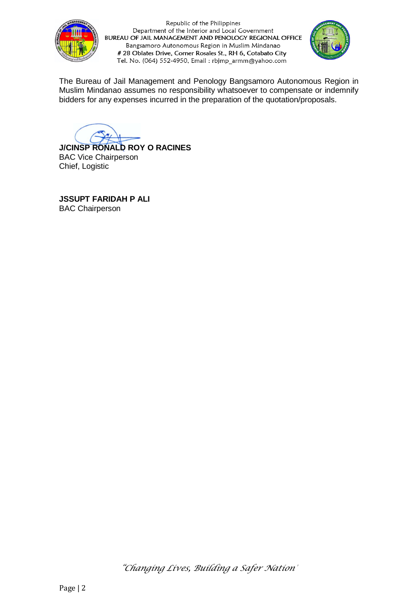



The Bureau of Jail Management and Penology Bangsamoro Autonomous Region in Muslim Mindanao assumes no responsibility whatsoever to compensate or indemnify bidders for any expenses incurred in the preparation of the quotation/proposals.

**J/CINSP RONALD ROY O RACINES** BAC Vice Chairperson Chief, Logistic

**JSSUPT FARIDAH P ALI** BAC Chairperson

*"Changing Lives, Building a Safer Nation"*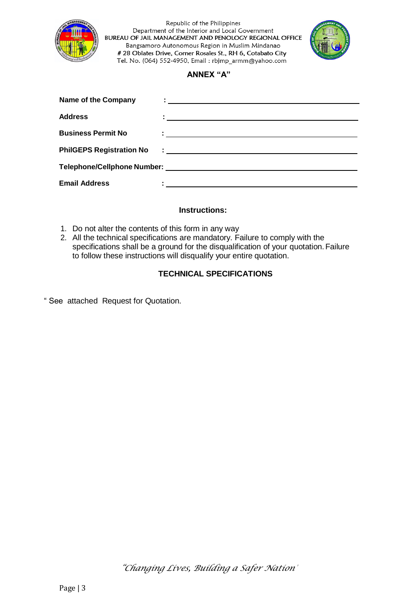



### **ANNEX "A"**

| <b>Name of the Company</b>      | <u>: __________________________</u>                                                                                   |  |
|---------------------------------|-----------------------------------------------------------------------------------------------------------------------|--|
| <b>Address</b>                  | <u> 1989 - Johann John Stein, markin sammen fyrstu og fyrstu og fyrir og fyrir og fyrstu og fyrstu og fyrstu og f</u> |  |
| <b>Business Permit No</b>       |                                                                                                                       |  |
| <b>PhilGEPS Registration No</b> |                                                                                                                       |  |
|                                 |                                                                                                                       |  |
| <b>Email Address</b>            |                                                                                                                       |  |

### **Instructions:**

- 1. Do not alter the contents of this form in any way
- 2. All the technical specifications are mandatory. Failure to comply with the specifications shall be a ground for the disqualification of your quotation.Failure to follow these instructions will disqualify your entire quotation.

# **TECHNICAL SPECIFICATIONS**

" See attached Request for Quotation.